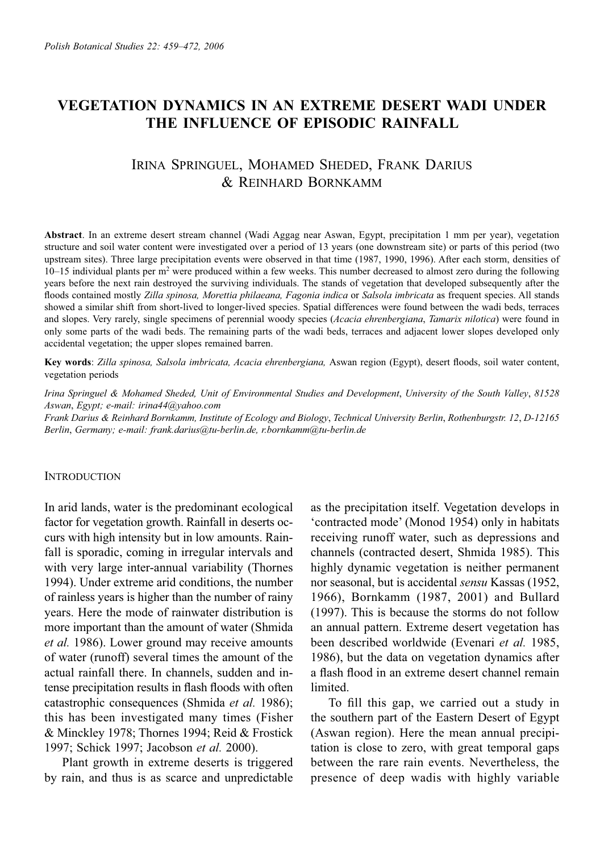# **VEGETATION DYNAMICS IN AN EXTREME DESERT WADI UNDER THE INFLUENCE OF EPISODIC RAINFALL**

# IRINA SPRINGUEL, MOHAMED SHEDED, FRANK DARIUS & REINHARD BORNKAMM

**Abstract**. In an extreme desert stream channel (Wadi Aggag near Aswan, Egypt, precipitation 1 mm per year), vegetation structure and soil water content were investigated over a period of 13 years (one downstream site) or parts of this period (two upstream sites). Three large precipitation events were observed in that time (1987, 1990, 1996). After each storm, densities of 10–15 individual plants per m<sup>2</sup> were produced within a few weeks. This number decreased to almost zero during the following years before the next rain destroyed the surviving individuals. The stands of vegetation that developed subsequently after the floods contained mostly Zilla spinosa, Morettia philaeana, Fagonia indica or Salsola imbricata as frequent species. All stands showed a similar shift from short-lived to longer-lived species. Spatial differences were found between the wadi beds, terraces and slopes. Very rarely, single specimens of perennial woody species (*Acacia ehrenbergiana*, *Tamarix nilotica*) were found in only some parts of the wadi beds. The remaining parts of the wadi beds, terraces and adjacent lower slopes developed only accidental vegetation; the upper slopes remained barren.

Key words: Zilla spinosa, Salsola imbricata, Acacia ehrenbergiana, Aswan region (Egypt), desert floods, soil water content, vegetation periods

*Irina Springuel & Mohamed Sheded, Unit of Environmental Studies and Development*, *University of the South Valley*, *81528 Aswan*, *Egypt; e-mail: irina44@yahoo.com*

*Frank Darius & Reinhard Bornkamm, Institute of Ecology and Biology*, *Technical University Berlin*, *Rothenburgstr. 12*, *D-12165 Berlin*, *Germany; e-mail: frank.darius@tu-berlin.de, r.bornkamm@tu-berlin.de*

#### **INTRODUCTION**

In arid lands, water is the predominant ecological factor for vegetation growth. Rainfall in deserts occurs with high intensity but in low amounts. Rainfall is sporadic, coming in irregular intervals and with very large inter-annual variability (Thornes 1994). Under extreme arid conditions, the number of rainless years is higher than the number of rainy years. Here the mode of rainwater distribution is more important than the amount of water (Shmida *et al.* 1986). Lower ground may receive amounts of water (runoff) several times the amount of the actual rainfall there. In channels, sudden and intense precipitation results in flash floods with often catastrophic consequences (Shmida *et al.* 1986); this has been investigated many times (Fisher & Minckley 1978; Thornes 1994; Reid & Frostick 1997; Schick 1997; Jacobson *et al.* 2000).

Plant growth in extreme deserts is triggered by rain, and thus is as scarce and unpredictable as the precipitation itself. Vegetation develops in 'contracted mode' (Monod 1954) only in habitats receiving runoff water, such as depressions and channels (contracted desert, Shmida 1985). This highly dynamic vegetation is neither permanent nor seasonal, but is accidental *sensu* Kassas (1952, 1966), Bornkamm (1987, 2001) and Bullard (1997). This is because the storms do not follow an annual pattern. Extreme desert vegetation has been described worldwide (Evenari *et al.* 1985, 1986), but the data on vegetation dynamics after a flash flood in an extreme desert channel remain limited.

To fill this gap, we carried out a study in the southern part of the Eastern Desert of Egypt (Aswan region). Here the mean annual precipitation is close to zero, with great temporal gaps between the rare rain events. Nevertheless, the presence of deep wadis with highly variable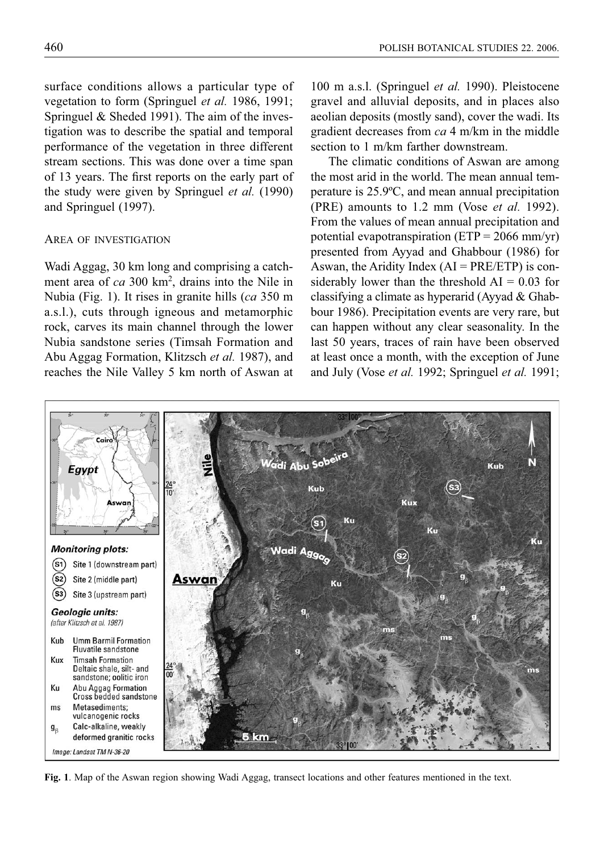surface conditions allows a particular type of vegetation to form (Springuel *et al.* 1986, 1991; Springuel & Sheded 1991). The aim of the investigation was to describe the spatial and temporal performance of the vegetation in three different stream sections. This was done over a time span of 13 years. The first reports on the early part of the study were given by Springuel *et al.* (1990) and Springuel (1997).

### AREA OF INVESTIGATION

Wadi Aggag, 30 km long and comprising a catchment area of *ca* 300 km2 , drains into the Nile in Nubia (Fig. 1). It rises in granite hills (*ca* 350 m a.s.l.), cuts through igneous and metamorphic rock, carves its main channel through the lower Nubia sandstone series (Timsah Formation and Abu Aggag Formation, Klitzsch *et al.* 1987), and reaches the Nile Valley 5 km north of Aswan at

100 m a.s.l. (Springuel *et al.* 1990). Pleistocene gravel and alluvial deposits, and in places also aeolian deposits (mostly sand), cover the wadi. Its gradient decreases from *ca* 4 m/km in the middle section to 1 m/km farther downstream.

The climatic conditions of Aswan are among the most arid in the world. The mean annual temperature is 25.9ºC, and mean annual precipitation (PRE) amounts to 1.2 mm (Vose *et al.* 1992). From the values of mean annual precipitation and potential evapotranspiration ( $ETP = 2066$  mm/yr) presented from Ayyad and Ghabbour (1986) for Aswan, the Aridity Index  $(AI = PRE/ETP)$  is considerably lower than the threshold  $AI = 0.03$  for classifying a climate as hyperarid (Ayyad & Ghabbour 1986). Precipitation events are very rare, but can happen without any clear seasonality. In the last 50 years, traces of rain have been observed at least once a month, with the exception of June and July (Vose *et al.* 1992; Springuel *et al.* 1991;



**Fig. 1**. Map of the Aswan region showing Wadi Aggag, transect locations and other features mentioned in the text.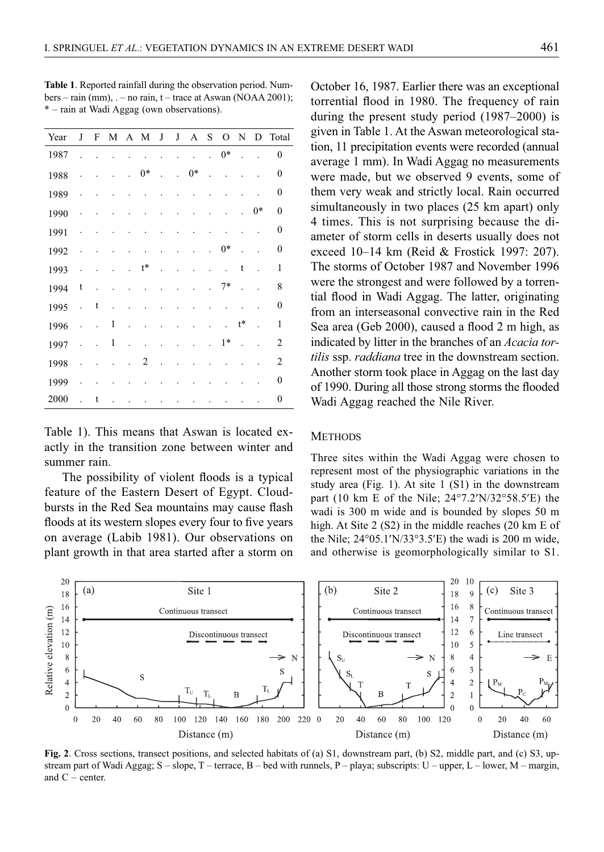| Year | J | F |   | M A M |      | J  | $_{\rm J}$ | A    | S | $\overline{O}$ | N                | D    | Total            |
|------|---|---|---|-------|------|----|------------|------|---|----------------|------------------|------|------------------|
| 1987 |   |   |   |       |      |    |            |      |   | $0*$           |                  |      | $\mathbf{0}$     |
| 1988 |   |   |   |       | $0*$ |    | ï          | $0*$ | ä |                |                  |      | $\mathbf{0}$     |
| 1989 |   |   |   |       |      |    |            |      |   |                |                  |      | 0                |
| 1990 |   |   |   |       |      |    |            |      |   |                |                  | $0*$ | $\mathbf{0}$     |
| 1991 |   |   |   |       |      |    |            |      |   |                |                  |      | $\mathbf{0}$     |
| 1992 |   |   |   |       |      |    |            |      |   | $0*$           |                  |      | 0                |
| 1993 |   |   |   |       | t*   |    |            |      |   |                | t                |      | $\mathbf{1}$     |
| 1994 | t | ä |   |       |      |    |            |      |   | $7*$           |                  |      | 8                |
| 1995 |   | t |   |       |      |    |            |      |   |                |                  |      | $\boldsymbol{0}$ |
| 1996 |   |   | 1 |       |      |    |            |      |   |                | $\mathfrak{t}^*$ |      | 1                |
| 1997 |   |   | 1 |       |      |    |            |      |   | $1*$           |                  |      | $\overline{2}$   |
| 1998 |   |   |   |       | 2    | í. |            |      |   |                |                  |      | $\overline{2}$   |
| 1999 |   |   |   |       |      |    |            |      |   |                |                  |      | $\mathbf{0}$     |
| 2000 |   | t |   |       |      |    |            |      |   |                |                  |      | $\mathbf{0}$     |

**Table 1**. Reported rainfall during the observation period. Numbers – rain (mm), . – no rain, t – trace at Aswan (NOAA 2001); \* – rain at Wadi Aggag (own observations).

Table 1). This means that Aswan is located exactly in the transition zone between winter and summer rain.

The possibility of violent floods is a typical feature of the Eastern Desert of Egypt. Cloudbursts in the Red Sea mountains may cause flash floods at its western slopes every four to five years on average (Labib 1981). Our observations on plant growth in that area started after a storm on October 16, 1987. Earlier there was an exceptional torrential flood in 1980. The frequency of rain during the present study period (1987–2000) is given in Table 1. At the Aswan meteorological station, 11 precipitation events were recorded (annual average 1 mm). In Wadi Aggag no measurements were made, but we observed 9 events, some of them very weak and strictly local. Rain occurred simultaneously in two places (25 km apart) only 4 times. This is not surprising because the diameter of storm cells in deserts usually does not exceed 10–14 km (Reid & Frostick 1997: 207). The storms of October 1987 and November 1996 were the strongest and were followed by a torrential flood in Wadi Aggag. The latter, originating from an interseasonal convective rain in the Red Sea area (Geb 2000), caused a flood 2 m high, as indicated by litter in the branches of an *Acacia tortilis* ssp. *raddiana* tree in the downstream section. Another storm took place in Aggag on the last day of 1990. During all those strong storms the flooded Wadi Aggag reached the Nile River.

## **METHODS**

Three sites within the Wadi Aggag were chosen to represent most of the physiographic variations in the study area (Fig. 1). At site 1 (S1) in the downstream part (10 km E of the Nile; 24°7.2′N/32°58.5′E) the wadi is 300 m wide and is bounded by slopes 50 m high. At Site 2 (S2) in the middle reaches (20 km E of the Nile; 24°05.1′N/33°3.5′E) the wadi is 200 m wide, and otherwise is geomorphologically similar to S1.



**Fig. 2**. Cross sections, transect positions, and selected habitats of (a) S1, downstream part, (b) S2, middle part, and (c) S3, upstream part of Wadi Aggag;  $S - slope$ ,  $T -$  terrace,  $B -$  bed with runnels,  $P -$  playa; subscripts:  $U -$  upper,  $L -$  lower,  $M -$  margin, and C – center.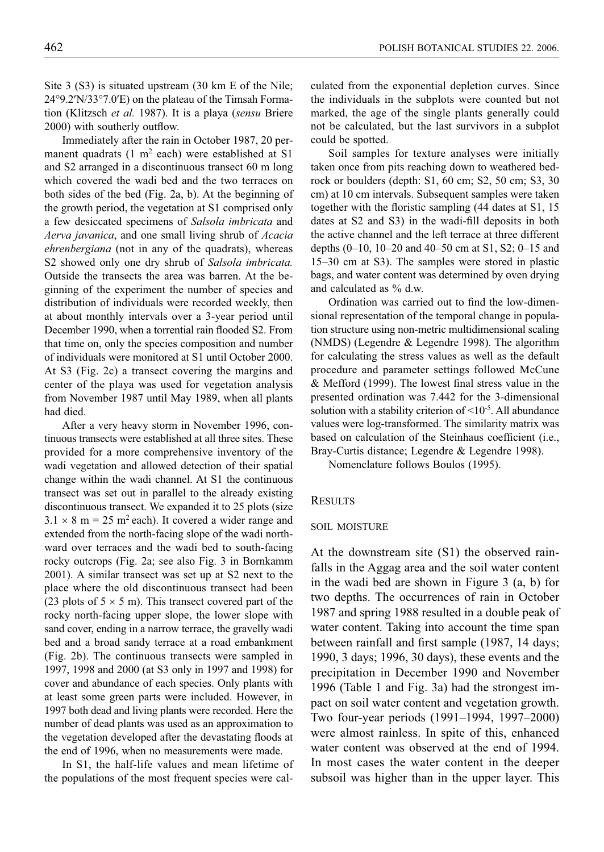Site 3 (S3) is situated upstream (30 km E of the Nile; 24°9.2′N/33°7.0′E) on the plateau of the Timsah Formation (Klitzsch *et al.* 1987). It is a playa (*sensu* Briere 2000) with southerly outflow.

Immediately after the rain in October 1987, 20 permanent quadrats  $(1 \text{ m}^2 \text{ each})$  were established at S1 and S2 arranged in a discontinuous transect 60 m long which covered the wadi bed and the two terraces on both sides of the bed (Fig. 2a, b). At the beginning of the growth period, the vegetation at S1 comprised only a few desiccated specimens of *Salsola imbricata* and *Aerva javanica*, and one small living shrub of *Acacia ehrenbergiana* (not in any of the quadrats), whereas S2 showed only one dry shrub of *Salsola imbricata.*  Outside the transects the area was barren. At the beginning of the experiment the number of species and distribution of individuals were recorded weekly, then at about monthly intervals over a 3-year period until December 1990, when a torrential rain flooded S2. From that time on, only the species composition and number of individuals were monitored at S1 until October 2000. At S3 (Fig. 2c) a transect covering the margins and center of the playa was used for vegetation analysis from November 1987 until May 1989, when all plants had died.

After a very heavy storm in November 1996, continuous transects were established at all three sites. These provided for a more comprehensive inventory of the wadi vegetation and allowed detection of their spatial change within the wadi channel. At S1 the continuous transect was set out in parallel to the already existing discontinuous transect. We expanded it to 25 plots (size  $3.1 \times 8$  m = 25 m<sup>2</sup> each). It covered a wider range and extended from the north-facing slope of the wadi northward over terraces and the wadi bed to south-facing rocky outcrops (Fig. 2a; see also Fig. 3 in Bornkamm 2001). A similar transect was set up at S2 next to the place where the old discontinuous transect had been (23 plots of  $5 \times 5$  m). This transect covered part of the rocky north-facing upper slope, the lower slope with sand cover, ending in a narrow terrace, the gravelly wadi bed and a broad sandy terrace at a road embankment (Fig. 2b). The continuous transects were sampled in 1997, 1998 and 2000 (at S3 only in 1997 and 1998) for cover and abundance of each species. Only plants with at least some green parts were included. However, in 1997 both dead and living plants were recorded. Here the number of dead plants was used as an approximation to the vegetation developed after the devastating floods at the end of 1996, when no measurements were made.

In S1, the half-life values and mean lifetime of the populations of the most frequent species were calculated from the exponential depletion curves. Since the individuals in the subplots were counted but not marked, the age of the single plants generally could not be calculated, but the last survivors in a subplot could be spotted.

Soil samples for texture analyses were initially taken once from pits reaching down to weathered bedrock or boulders (depth: S1, 60 cm; S2, 50 cm; S3, 30 cm) at 10 cm intervals. Subsequent samples were taken together with the floristic sampling  $(44$  dates at S1, 15 dates at  $S2$  and  $S3$ ) in the wadi-fill deposits in both the active channel and the left terrace at three different depths (0–10, 10–20 and 40–50 cm at S1, S2; 0–15 and 15–30 cm at S3). The samples were stored in plastic bags, and water content was determined by oven drying and calculated as % d.w.

Ordination was carried out to find the low-dimensional representation of the temporal change in population structure using non-metric multidimensional scaling (NMDS) (Legendre & Legendre 1998). The algorithm for calculating the stress values as well as the default procedure and parameter settings followed McCune  $&$  Mefford (1999). The lowest final stress value in the presented ordination was 7.442 for the 3-dimensional solution with a stability criterion of  $\leq 10^{-5}$ . All abundance values were log-transformed. The similarity matrix was based on calculation of the Steinhaus coefficient (i.e., Bray-Curtis distance; Legendre & Legendre 1998).

Nomenclature follows Boulos (1995).

#### **RESULTS**

## SOIL MOISTURE

At the downstream site (S1) the observed rainfalls in the Aggag area and the soil water content in the wadi bed are shown in Figure 3 (a, b) for two depths. The occurrences of rain in October 1987 and spring 1988 resulted in a double peak of water content. Taking into account the time span between rainfall and first sample (1987, 14 days; 1990, 3 days; 1996, 30 days), these events and the precipitation in December 1990 and November 1996 (Table 1 and Fig. 3a) had the strongest impact on soil water content and vegetation growth. Two four-year periods (1991–1994, 1997–2000) were almost rainless. In spite of this, enhanced water content was observed at the end of 1994. In most cases the water content in the deeper subsoil was higher than in the upper layer. This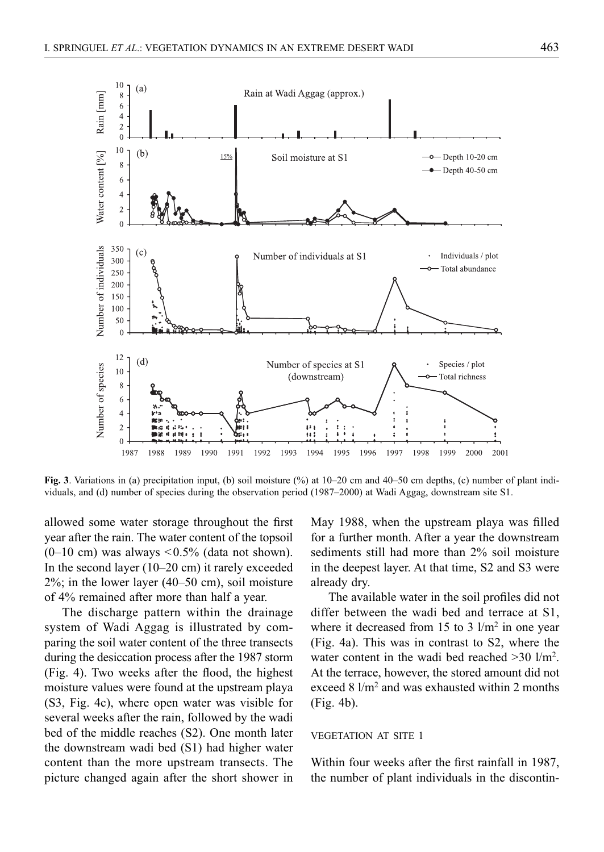

**Fig. 3**. Variations in (a) precipitation input, (b) soil moisture (%) at 10–20 cm and 40–50 cm depths, (c) number of plant individuals, and (d) number of species during the observation period (1987–2000) at Wadi Aggag, downstream site S1.

allowed some water storage throughout the first year after the rain. The water content of the topsoil  $(0-10 \text{ cm})$  was always  $\leq 0.5\%$  (data not shown). In the second layer (10–20 cm) it rarely exceeded 2%; in the lower layer (40–50 cm), soil moisture of 4% remained after more than half a year.

The discharge pattern within the drainage system of Wadi Aggag is illustrated by comparing the soil water content of the three transects during the desiccation process after the 1987 storm (Fig. 4). Two weeks after the flood, the highest moisture values were found at the upstream playa (S3, Fig. 4c), where open water was visible for several weeks after the rain, followed by the wadi bed of the middle reaches (S2). One month later the downstream wadi bed (S1) had higher water content than the more upstream transects. The picture changed again after the short shower in May 1988, when the upstream playa was filled for a further month. After a year the downstream sediments still had more than 2% soil moisture in the deepest layer. At that time, S2 and S3 were already dry.

The available water in the soil profiles did not differ between the wadi bed and terrace at S1, where it decreased from 15 to 3  $1/m^2$  in one year (Fig. 4a). This was in contrast to S2, where the water content in the wadi bed reached >30 l/m<sup>2</sup>. At the terrace, however, the stored amount did not exceed 8  $1/m^2$  and was exhausted within 2 months (Fig. 4b).

## VEGETATION AT SITE 1

Within four weeks after the first rainfall in 1987, the number of plant individuals in the discontin-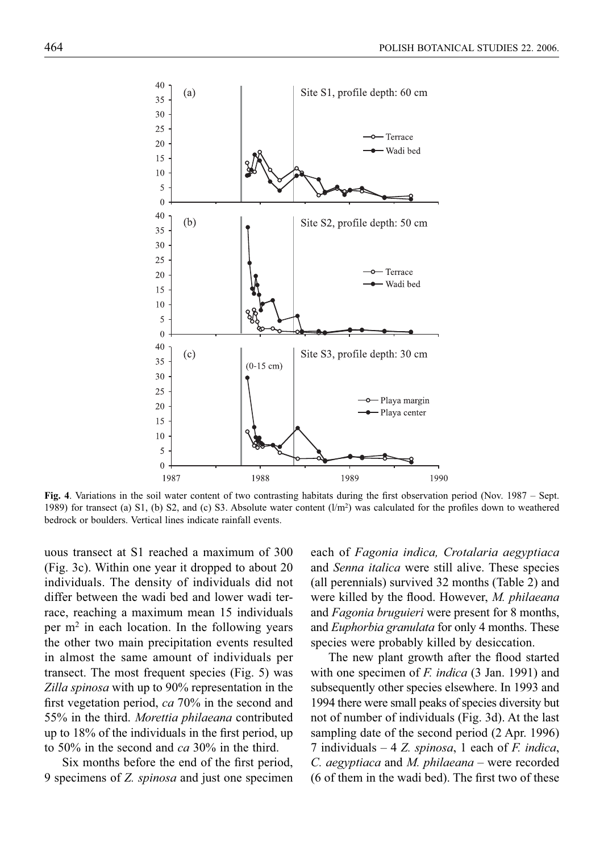

Fig. 4. Variations in the soil water content of two contrasting habitats during the first observation period (Nov. 1987 – Sept. 1989) for transect (a) S1, (b) S2, and (c) S3. Absolute water content  $(l/m<sup>2</sup>)$  was calculated for the profiles down to weathered bedrock or boulders. Vertical lines indicate rainfall events.

uous transect at S1 reached a maximum of 300 (Fig. 3c). Within one year it dropped to about 20 individuals. The density of individuals did not differ between the wadi bed and lower wadi terrace, reaching a maximum mean 15 individuals per  $m<sup>2</sup>$  in each location. In the following years the other two main precipitation events resulted in almost the same amount of individuals per transect. The most frequent species (Fig. 5) was *Zilla spinosa* with up to 90% representation in the first vegetation period, *ca* 70% in the second and 55% in the third. *Morettia philaeana* contributed up to  $18\%$  of the individuals in the first period, up to 50% in the second and *ca* 30% in the third.

Six months before the end of the first period, 9 specimens of *Z. spinosa* and just one specimen

each of *Fagonia indica, Crotalaria aegyptiaca*  and *Senna italica* were still alive. These species (all perennials) survived 32 months (Table 2) and were killed by the flood. However, *M. philaeana* and *Fagonia bruguieri* were present for 8 months, and *Euphorbia granulata* for only 4 months. These species were probably killed by desiccation.

The new plant growth after the flood started with one specimen of *F. indica* (3 Jan. 1991) and subsequently other species elsewhere. In 1993 and 1994 there were small peaks of species diversity but not of number of individuals (Fig. 3d). At the last sampling date of the second period (2 Apr. 1996) 7 individuals – 4 *Z. spinosa*, 1 each of *F. indica*, *C. aegyptiaca* and *M. philaeana* – were recorded  $(6$  of them in the wadi bed). The first two of these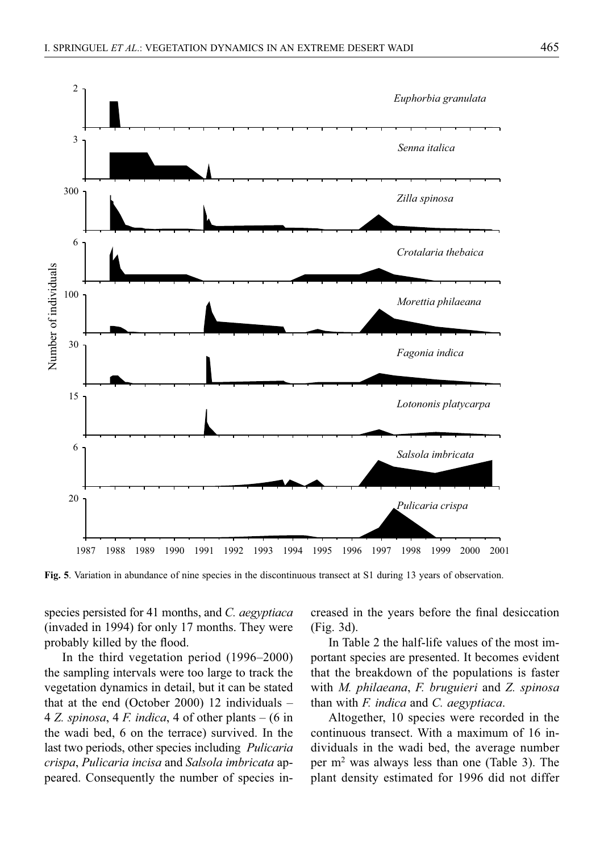

**Fig. 5**. Variation in abundance of nine species in the discontinuous transect at S1 during 13 years of observation.

species persisted for 41 months, and *C. aegyptiaca* (invaded in 1994) for only 17 months. They were probably killed by the flood.

In the third vegetation period (1996–2000) the sampling intervals were too large to track the vegetation dynamics in detail, but it can be stated that at the end (October 2000) 12 individuals – 4 *Z. spinosa*, 4 *F. indica*, 4 of other plants – (6 in the wadi bed, 6 on the terrace) survived. In the last two periods, other species including *Pulicaria crispa*, *Pulicaria incisa* and *Salsola imbricata* appeared. Consequently the number of species increased in the years before the final desiccation (Fig. 3d).

In Table 2 the half-life values of the most important species are presented. It becomes evident that the breakdown of the populations is faster with *M. philaeana*, *F. bruguieri* and *Z. spinosa* than with *F. indica* and *C. aegyptiaca*.

Altogether, 10 species were recorded in the continuous transect. With a maximum of 16 individuals in the wadi bed, the average number per m2 was always less than one (Table 3). The plant density estimated for 1996 did not differ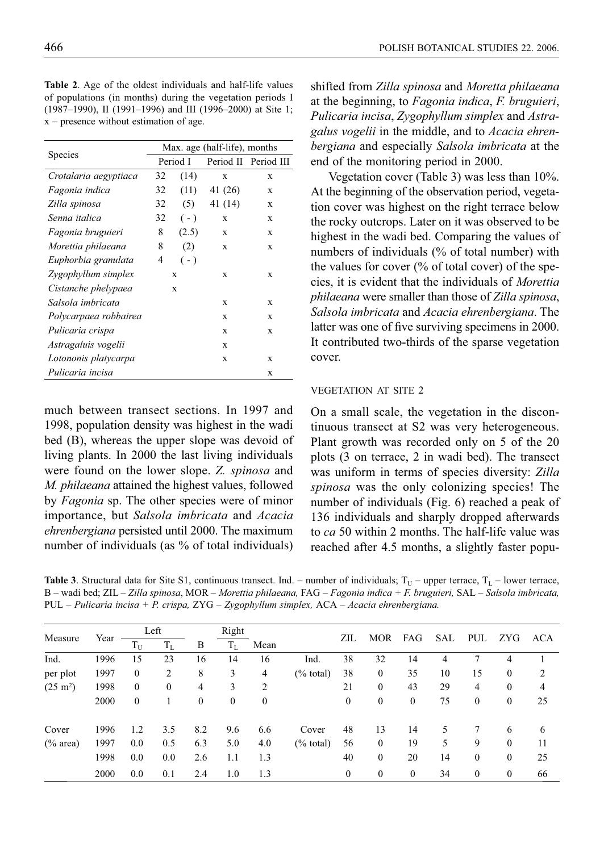| <b>Table 2.</b> Age of the oldest individuals and half-life values |
|--------------------------------------------------------------------|
| of populations (in months) during the vegetation periods I         |
| $(1987-1990)$ , II (1991–1996) and III (1996–2000) at Site 1;      |
| $x$ – presence without estimation of age.                          |

|                       | Max. age (half-life), months |          |         |                                                                                  |  |  |  |  |  |
|-----------------------|------------------------------|----------|---------|----------------------------------------------------------------------------------|--|--|--|--|--|
| Species               |                              | Period I |         | Period II Period III<br>X<br>X<br>X<br>X<br>X<br>X<br>X<br>X<br>X<br>X<br>X<br>X |  |  |  |  |  |
| Crotalaria aegyptiaca | 32                           | (14)     |         |                                                                                  |  |  |  |  |  |
| Fagonia indica        | 32                           | (11)     | 41 (26) |                                                                                  |  |  |  |  |  |
| Zilla spinosa         | 32                           | (5)      | 41 (14) |                                                                                  |  |  |  |  |  |
| Senna italica         | 32                           | $(-)$    |         |                                                                                  |  |  |  |  |  |
| Fagonia bruguieri     | 8                            | (2.5)    |         |                                                                                  |  |  |  |  |  |
| Morettia philaeana    | 8                            | (2)      |         |                                                                                  |  |  |  |  |  |
| Euphorbia granulata   | 4                            | $(-)$    |         |                                                                                  |  |  |  |  |  |
| Zygophyllum simplex   |                              | X        |         |                                                                                  |  |  |  |  |  |
| Cistanche phelypaea   |                              | X        |         |                                                                                  |  |  |  |  |  |
| Salsola imbricata     |                              |          | X       | X                                                                                |  |  |  |  |  |
| Polycarpaea robbairea |                              |          | X       | X                                                                                |  |  |  |  |  |
| Pulicaria crispa      |                              |          | X       | X                                                                                |  |  |  |  |  |
| Astragaluis vogelii   |                              |          | X       |                                                                                  |  |  |  |  |  |
| Lotononis platycarpa  |                              |          | X       | X                                                                                |  |  |  |  |  |
| Pulicaria incisa      |                              |          |         | X                                                                                |  |  |  |  |  |

much between transect sections. In 1997 and 1998, population density was highest in the wadi bed (B), whereas the upper slope was devoid of living plants. In 2000 the last living individuals were found on the lower slope. *Z. spinosa* and *M. philaeana* attained the highest values, followed by *Fagonia* sp. The other species were of minor importance, but *Salsola imbricata* and *Acacia ehrenbergiana* persisted until 2000. The maximum number of individuals (as % of total individuals)

shifted from *Zilla spinosa* and *Moretta philaeana* at the beginning, to *Fagonia indica*, *F. bruguieri*, *Pulicaria incisa*, *Zygophyllum simplex* and *Astragalus vogelii* in the middle, and to *Acacia ehrenbergiana* and especially *Salsola imbricata* at the end of the monitoring period in 2000.

Vegetation cover (Table 3) was less than 10%. At the beginning of the observation period, vegetation cover was highest on the right terrace below the rocky outcrops. Later on it was observed to be highest in the wadi bed. Comparing the values of numbers of individuals (% of total number) with the values for cover  $\frac{6}{6}$  of total cover) of the species, it is evident that the individuals of *Morettia philaeana* were smaller than those of *Zilla spinosa*, *Salsola imbricata* and *Acacia ehrenbergiana*. The latter was one of five surviving specimens in 2000. It contributed two-thirds of the sparse vegetation cover.

## VEGETATION AT SITE 2

On a small scale, the vegetation in the discontinuous transect at S2 was very heterogeneous. Plant growth was recorded only on 5 of the 20 plots (3 on terrace, 2 in wadi bed). The transect was uniform in terms of species diversity: *Zilla spinosa* was the only colonizing species! The number of individuals (Fig. 6) reached a peak of 136 individuals and sharply dropped afterwards to *ca* 50 within 2 months. The half-life value was reached after 4.5 months, a slightly faster popu-

**Table 3.** Structural data for Site S1, continuous transect. Ind. – number of individuals;  $T_U$  – upper terrace,  $T_L$  – lower terrace, B – wadi bed; ZIL – *Zilla spinosa*, MOR – *Morettia philaeana,* FAG *– Fagonia indica + F. bruguieri,* SAL *– Salsola imbricata,*  PUL *– Pulicaria incisa + P. crispa,* ZYG *– Zygophyllum simplex,* ACA *– Acacia ehrenbergiana.*

| Measure            | Year | Left            |              |              | Right        |                  |                      | ZIL              |              |              |            |              |              |     |
|--------------------|------|-----------------|--------------|--------------|--------------|------------------|----------------------|------------------|--------------|--------------|------------|--------------|--------------|-----|
|                    |      | $\rm T_{\rm U}$ | $T_{L}$      | B            | $T_{\rm L}$  | Mean             |                      |                  | <b>MOR</b>   | FAG          | <b>SAL</b> | PUL          | ZYG.         | ACA |
| Ind.               | 1996 | 15              | 23           | 16           | 14           | 16               | Ind.                 | 38               | 32           | 14           | 4          |              | 4            |     |
| per plot           | 1997 | $\mathbf{0}$    | 2            | 8            | 3            | 4                | $(\%$ total)         | 38               | $\mathbf{0}$ | 35           | 10         | 15           | $\mathbf{0}$ | 2   |
| $(25 \text{ m}^2)$ | 1998 | $\mathbf{0}$    | $\mathbf{0}$ | 4            | 3            | 2                |                      | 21               | $\mathbf{0}$ | 43           | 29         | 4            | $\mathbf{0}$ | 4   |
|                    | 2000 | $\mathbf{0}$    |              | $\mathbf{0}$ | $\mathbf{0}$ | $\boldsymbol{0}$ |                      | $\boldsymbol{0}$ | $\mathbf{0}$ | $\mathbf{0}$ | 75         | $\mathbf{0}$ | $\mathbf{0}$ | 25  |
| Cover              | 1996 | 1.2             | 3.5          | 8.2          | 9.6          | 6.6              | Cover                | 48               | 13           | 14           | 5          | 7            | 6            | 6   |
| $(\%$ area)        | 1997 | 0.0             | 0.5          | 6.3          | 5.0          | 4.0              | $(\% \text{ total})$ | 56               | $\mathbf{0}$ | 19           | 5          | 9            | $\theta$     | 11  |
|                    | 1998 | 0.0             | 0.0          | 2.6          | 1.1          | 1.3              |                      | 40               | $\mathbf{0}$ | 20           | 14         | $\mathbf{0}$ | $\mathbf{0}$ | 25  |
|                    | 2000 | 0.0             | 0.1          | 2.4          | 1.0          | 1.3              |                      | $\mathbf{0}$     | $\mathbf{0}$ | $\mathbf{0}$ | 34         | 0            | $\mathbf{0}$ | 66  |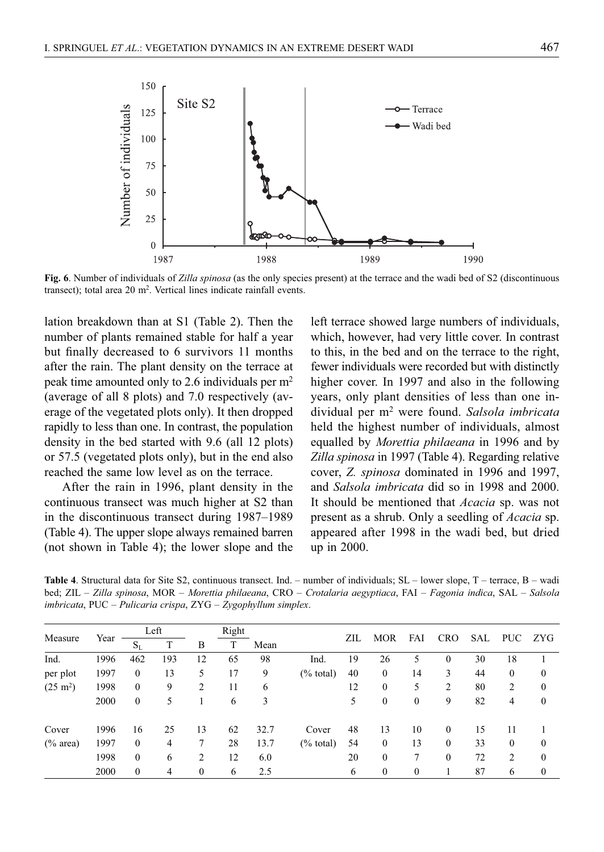

**Fig. 6**. Number of individuals of *Zilla spinosa* (as the only species present) at the terrace and the wadi bed of S2 (discontinuous transect); total area 20 m<sup>2</sup>. Vertical lines indicate rainfall events.

lation breakdown than at S1 (Table 2). Then the number of plants remained stable for half a year but finally decreased to 6 survivors 11 months after the rain. The plant density on the terrace at peak time amounted only to 2.6 individuals per m2 (average of all 8 plots) and 7.0 respectively (average of the vegetated plots only). It then dropped rapidly to less than one. In contrast, the population density in the bed started with 9.6 (all 12 plots) or 57.5 (vegetated plots only), but in the end also reached the same low level as on the terrace.

After the rain in 1996, plant density in the continuous transect was much higher at S2 than in the discontinuous transect during 1987–1989 (Table 4). The upper slope always remained barren (not shown in Table 4); the lower slope and the left terrace showed large numbers of individuals, which, however, had very little cover. In contrast to this, in the bed and on the terrace to the right, fewer individuals were recorded but with distinctly higher cover. In 1997 and also in the following years, only plant densities of less than one individual per m2 were found. *Salsola imbricata* held the highest number of individuals, almost equalled by *Morettia philaeana* in 1996 and by *Zilla spinosa* in 1997 (Table 4). Regarding relative cover, *Z. spinosa* dominated in 1996 and 1997, and *Salsola imbricata* did so in 1998 and 2000. It should be mentioned that *Acacia* sp. was not present as a shrub. Only a seedling of *Acacia* sp. appeared after 1998 in the wadi bed, but dried up in 2000.

**Table 4**. Structural data for Site S2, continuous transect. Ind. – number of individuals; SL – lower slope, T – terrace, B – wadi bed; ZIL – *Zilla spinosa*, MOR – *Morettia philaeana*, CRO – *Crotalaria aegyptiaca*, FAI – *Fagonia indica*, SAL – *Salsola imbricata*, PUC – *Pulicaria crispa*, ZYG – *Zygophyllum simplex*.

| Measure            |      | Left         |     | Right        |    |      |              |     |                  |              |            |     |                | ZYG      |
|--------------------|------|--------------|-----|--------------|----|------|--------------|-----|------------------|--------------|------------|-----|----------------|----------|
|                    | Year | $S_{L}$      | T   | B            |    | Mean |              | ZIL | <b>MOR</b>       | FAI          | <b>CRO</b> | SAL | <b>PUC</b>     |          |
| Ind.               | 1996 | 462          | 193 | 12           | 65 | 98   | Ind.         | 19  | 26               | 5            | $\theta$   | 30  | 18             |          |
| per plot           | 1997 | $\mathbf{0}$ | 13  | 5            | 17 | 9    | $(\%$ total) | 40  | $\mathbf{0}$     | 14           | 3          | 44  | $\mathbf{0}$   | $\theta$ |
| $(25 \text{ m}^2)$ | 1998 | $\mathbf{0}$ | 9   | 2            | 11 | 6    |              | 12  | $\boldsymbol{0}$ | 5            | 2          | 80  | 2              | $\Omega$ |
|                    | 2000 | $\mathbf{0}$ | 5   |              | 6  | 3    |              | 5   | $\bf{0}$         | $\mathbf{0}$ | 9          | 82  | 4              | $\theta$ |
| Cover              | 1996 | 16           | 25  | 13           | 62 | 32.7 | Cover        | 48  | 13               | 10           | $\theta$   | 15  | 11             |          |
| $(\%$ area)        | 1997 | $\mathbf{0}$ | 4   | 7            | 28 | 13.7 | $(\%$ total) | 54  | $\mathbf{0}$     | 13           | $\theta$   | 33  | $\mathbf{0}$   | $\theta$ |
|                    | 1998 | $\theta$     | 6   | 2            | 12 | 6.0  |              | 20  | $\theta$         | 7            | $\theta$   | 72  | $\overline{c}$ | $\Omega$ |
|                    | 2000 | $\theta$     | 4   | $\mathbf{0}$ | 6  | 2.5  |              | 6   | $\bf{0}$         | $\mathbf{0}$ |            | 87  | 6              | $\Omega$ |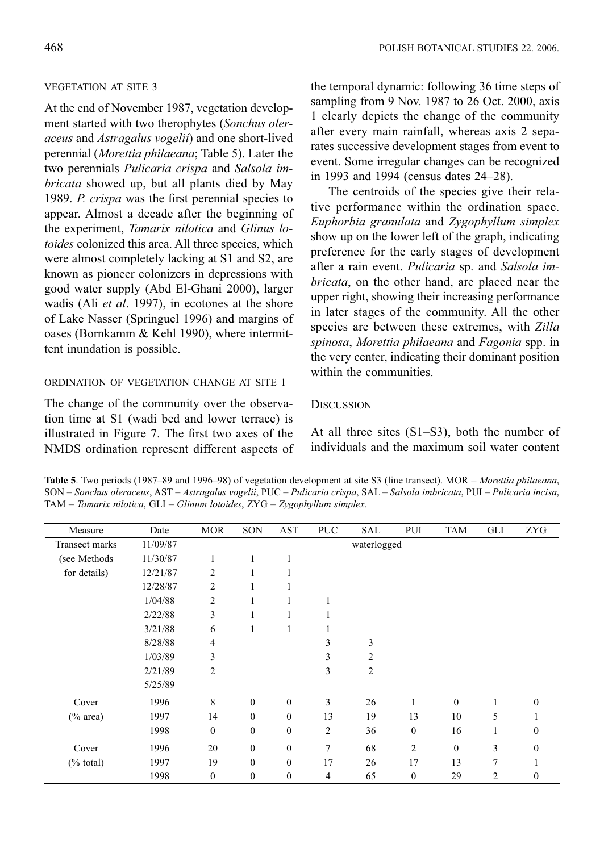# VEGETATION AT SITE 3

At the end of November 1987, vegetation development started with two therophytes (*Sonchus oleraceus* and *Astragalus vogelii*) and one short-lived perennial (*Morettia philaeana*; Table 5). Later the two perennials *Pulicaria crispa* and *Salsola imbricata* showed up, but all plants died by May 1989. *P. crispa* was the first perennial species to appear. Almost a decade after the beginning of the experiment, *Tamarix nilotica* and *Glinus lotoides* colonized this area. All three species, which were almost completely lacking at S1 and S2, are known as pioneer colonizers in depressions with good water supply (Abd El-Ghani 2000), larger wadis (Ali *et al*. 1997), in ecotones at the shore of Lake Nasser (Springuel 1996) and margins of oases (Bornkamm & Kehl 1990), where intermittent inundation is possible.

# ORDINATION OF VEGETATION CHANGE AT SITE 1

The change of the community over the observation time at S1 (wadi bed and lower terrace) is illustrated in Figure 7. The first two axes of the NMDS ordination represent different aspects of the temporal dynamic: following 36 time steps of sampling from 9 Nov. 1987 to 26 Oct. 2000, axis 1 clearly depicts the change of the community after every main rainfall, whereas axis 2 separates successive development stages from event to event. Some irregular changes can be recognized in 1993 and 1994 (census dates 24–28).

The centroids of the species give their relative performance within the ordination space. *Euphorbia granulata* and *Zygophyllum simplex* show up on the lower left of the graph, indicating preference for the early stages of development after a rain event. *Pulicaria* sp. and *Salsola imbricata*, on the other hand, are placed near the upper right, showing their increasing performance in later stages of the community. All the other species are between these extremes, with *Zilla spinosa*, *Morettia philaeana* and *Fagonia* spp. in the very center, indicating their dominant position within the communities.

#### **DISCUSSION**

At all three sites (S1–S3), both the number of individuals and the maximum soil water content

**Table 5**. Two periods (1987–89 and 1996–98) of vegetation development at site S3 (line transect). MOR – *Morettia philaeana*, SON – *Sonchus oleraceus*, AST – *Astragalus vogelii*, PUC – *Pulicaria crispa*, SAL – *Salsola imbricata*, PUI – *Pulicaria incisa*, TAM – *Tamarix nilotica*, GLI – *Glinum lotoides*, ZYG – *Zygophyllum simplex*.

| Measure        | Date     | <b>MOR</b>       | SON              | AST          | <b>PUC</b>     | SAL            | PUI            | TAM          | GLI            | <b>ZYG</b>   |
|----------------|----------|------------------|------------------|--------------|----------------|----------------|----------------|--------------|----------------|--------------|
| Transect marks | 11/09/87 |                  |                  |              |                | waterlogged    |                |              |                |              |
| (see Methods)  | 11/30/87 | 1                | 1                | 1            |                |                |                |              |                |              |
| for details)   | 12/21/87 | 2                | 1                | 1            |                |                |                |              |                |              |
|                | 12/28/87 | 2                | 1                |              |                |                |                |              |                |              |
|                | 1/04/88  | 2                | 1                | 1            | 1              |                |                |              |                |              |
|                | 2/22/88  | 3                | 1                | 1            |                |                |                |              |                |              |
|                | 3/21/88  | 6                | 1                | 1            |                |                |                |              |                |              |
|                | 8/28/88  | $\overline{4}$   |                  |              | 3              | 3              |                |              |                |              |
|                | 1/03/89  | 3                |                  |              | 3              | 2              |                |              |                |              |
|                | 2/21/89  | $\overline{c}$   |                  |              | 3              | $\overline{c}$ |                |              |                |              |
|                | 5/25/89  |                  |                  |              |                |                |                |              |                |              |
| Cover          | 1996     | 8                | $\theta$         | $\mathbf{0}$ | 3              | 26             | 1              | $\theta$     | 1              | $\Omega$     |
| $(\%$ area)    | 1997     | 14               | $\theta$         | $\mathbf{0}$ | 13             | 19             | 13             | 10           | 5              |              |
|                | 1998     | $\boldsymbol{0}$ | $\boldsymbol{0}$ | $\mathbf{0}$ | $\overline{c}$ | 36             | $\mathbf{0}$   | 16           | 1              | $\Omega$     |
| Cover          | 1996     | 20               | $\boldsymbol{0}$ | $\mathbf{0}$ | 7              | 68             | $\overline{c}$ | $\mathbf{0}$ | 3              | $\Omega$     |
| $(\%$ total)   | 1997     | 19               | $\theta$         | $\mathbf{0}$ | 17             | 26             | 17             | 13           | $\overline{7}$ |              |
|                | 1998     | $\mathbf{0}$     | $\mathbf{0}$     | $\mathbf{0}$ | 4              | 65             | $\mathbf{0}$   | 29           | 2              | $\mathbf{0}$ |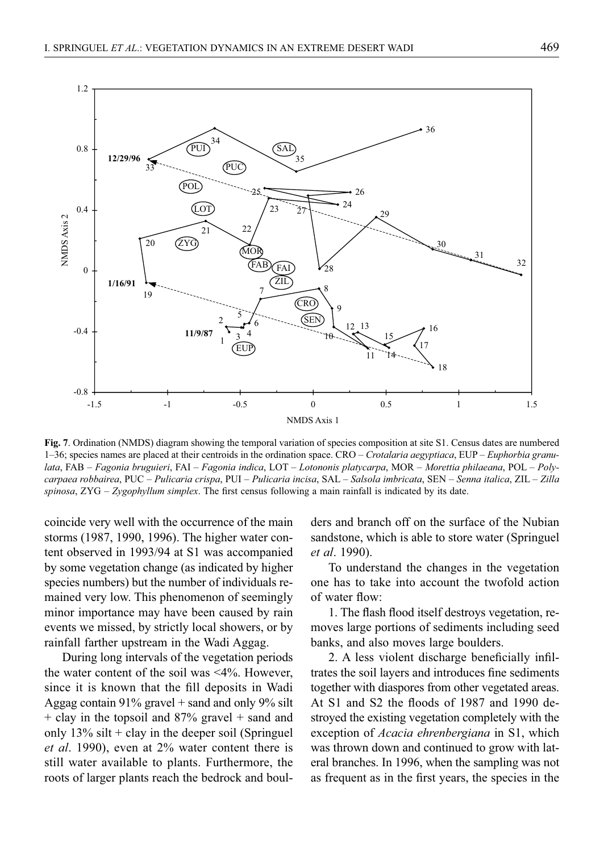

**Fig. 7**. Ordination (NMDS) diagram showing the temporal variation of species composition at site S1. Census dates are numbered 1–36; species names are placed at their centroids in the ordination space. CRO – *Crotalaria aegyptiaca*, EUP – *Euphorbia granulata*, FAB – *Fagonia bruguieri*, FAI – *Fagonia indica*, LOT – *Lotononis platycarpa*, MOR – *Morettia philaeana*, POL – *Polycarpaea robbairea*, PUC – *Pulicaria crispa*, PUI – *Pulicaria incisa*, SAL – *Salsola imbricata*, SEN – *Senna italica*, ZIL – *Zilla*   $spinosa$ ,  $ZYG - Zygophyllum simplex$ . The first census following a main rainfall is indicated by its date.

coincide very well with the occurrence of the main storms (1987, 1990, 1996). The higher water content observed in 1993/94 at S1 was accompanied by some vegetation change (as indicated by higher species numbers) but the number of individuals remained very low. This phenomenon of seemingly minor importance may have been caused by rain events we missed, by strictly local showers, or by rainfall farther upstream in the Wadi Aggag.

During long intervals of the vegetation periods the water content of the soil was <4%. However, since it is known that the fill deposits in Wadi Aggag contain  $91\%$  gravel + sand and only  $9\%$  silt + clay in the topsoil and 87% gravel + sand and only  $13\%$  silt + clay in the deeper soil (Springuel *et al*. 1990), even at 2% water content there is still water available to plants. Furthermore, the roots of larger plants reach the bedrock and boulders and branch off on the surface of the Nubian sandstone, which is able to store water (Springuel *et al*. 1990).

To understand the changes in the vegetation one has to take into account the twofold action of water flow:

1. The flash flood itself destroys vegetation, removes large portions of sediments including seed banks, and also moves large boulders.

2. A less violent discharge beneficially infiltrates the soil layers and introduces fine sediments together with diaspores from other vegetated areas. At S1 and S2 the floods of 1987 and 1990 destroyed the existing vegetation completely with the exception of *Acacia ehrenbergiana* in S1, which was thrown down and continued to grow with lateral branches. In 1996, when the sampling was not as frequent as in the first years, the species in the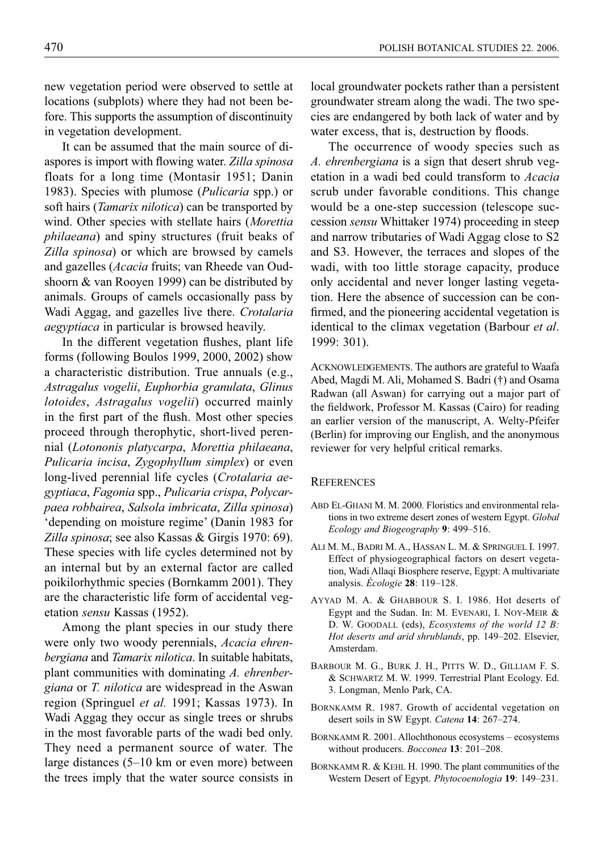new vegetation period were observed to settle at locations (subplots) where they had not been before. This supports the assumption of discontinuity in vegetation development.

It can be assumed that the main source of diaspores is import with flowing water. Zilla spinosa floats for a long time (Montasir 1951; Danin 1983). Species with plumose (*Pulicaria* spp.) or soft hairs (*Tamarix nilotica*) can be transported by wind. Other species with stellate hairs (*Morettia philaeana*) and spiny structures (fruit beaks of *Zilla spinosa*) or which are browsed by camels and gazelles (*Acacia* fruits; van Rheede van Oudshoorn & van Rooyen 1999) can be distributed by animals. Groups of camels occasionally pass by Wadi Aggag, and gazelles live there. *Crotalaria aegyptiaca* in particular is browsed heavily.

In the different vegetation flushes, plant life forms (following Boulos 1999, 2000, 2002) show a characteristic distribution. True annuals (e.g., *Astragalus vogelii*, *Euphorbia granulata*, *Glinus lotoides*, *Astragalus vogelii*) occurred mainly in the first part of the flush. Most other species proceed through therophytic, short-lived perennial (*Lotononis platycarpa*, *Morettia philaeana*, *Pulicaria incisa*, *Zygophyllum simplex*) or even long-lived perennial life cycles (*Crotalaria aegyptiaca*, *Fagonia* spp., *Pulicaria crispa*, *Polycarpaea robbairea*, *Salsola imbricata*, *Zilla spinosa*) 'depending on moisture regime' (Danin 1983 for *Zilla spinosa*; see also Kassas & Girgis 1970: 69). These species with life cycles determined not by an internal but by an external factor are called poikilorhythmic species (Bornkamm 2001). They are the characteristic life form of accidental vegetation *sensu* Kassas (1952).

Among the plant species in our study there were only two woody perennials, *Acacia ehrenbergiana* and *Tamarix nilotica*. In suitable habitats, plant communities with dominating *A. ehrenbergiana* or *T. nilotica* are widespread in the Aswan region (Springuel *et al.* 1991; Kassas 1973). In Wadi Aggag they occur as single trees or shrubs in the most favorable parts of the wadi bed only. They need a permanent source of water. The large distances (5–10 km or even more) between the trees imply that the water source consists in local groundwater pockets rather than a persistent groundwater stream along the wadi. The two species are endangered by both lack of water and by water excess, that is, destruction by floods.

The occurrence of woody species such as *A. ehrenbergiana* is a sign that desert shrub vegetation in a wadi bed could transform to *Acacia* scrub under favorable conditions. This change would be a one-step succession (telescope succession *sensu* Whittaker 1974) proceeding in steep and narrow tributaries of Wadi Aggag close to S2 and S3. However, the terraces and slopes of the wadi, with too little storage capacity, produce only accidental and never longer lasting vegetation. Here the absence of succession can be confirmed, and the pioneering accidental vegetation is identical to the climax vegetation (Barbour *et al*. 1999: 301).

ACKNOWLEDGEMENTS. The authors are grateful to Waafa Abed, Magdi M. Ali, Mohamed S. Badri (†) and Osama Radwan (all Aswan) for carrying out a major part of the fieldwork, Professor M. Kassas (Cairo) for reading an earlier version of the manuscript, A. Welty-Pfeifer (Berlin) for improving our English, and the anonymous reviewer for very helpful critical remarks.

#### **REFERENCES**

- ABD EL-GHANI M. M. 2000. Floristics and environmental relations in two extreme desert zones of western Egypt. *Global Ecology and Biogeography* **9**: 499–516.
- ALI M. M., BADRI M. A., HASSAN L. M. & SPRINGUEL I. 1997. Effect of physiogeographical factors on desert vegetation, Wadi Allaqi Biosphere reserve, Egypt: A multivariate analysis. *Écologie* **28**: 119–128.
- AYYAD M. A. & GHABBOUR S. I. 1986. Hot deserts of Egypt and the Sudan. In: M. EVENARI, I. NOY-MEIR & D. W. GOODALL (eds), *Ecosystems of the world 12 B: Hot deserts and arid shrublands*, pp. 149–202. Elsevier, Amsterdam.
- BARBOUR M. G., BURK J. H., PITTS W. D., GILLIAM F. S. & SCHWARTZ M. W. 1999. Terrestrial Plant Ecology. Ed. 3. Longman, Menlo Park, CA.
- BORNKAMM R. 1987. Growth of accidental vegetation on desert soils in SW Egypt. *Catena* **14**: 267–274.
- BORNKAMM R. 2001. Allochthonous ecosystems ecosystems without producers. *Bocconea* **13**: 201–208.
- BORNKAMM R. & KEHL H. 1990. The plant communities of the Western Desert of Egypt. *Phytocoenologia* **19**: 149–231.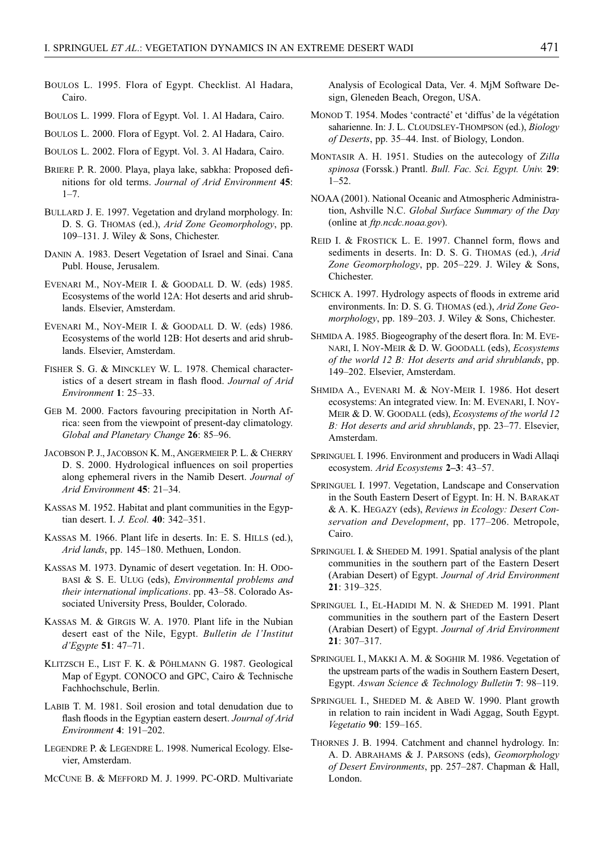- BOULOS L. 1995. Flora of Egypt. Checklist. Al Hadara, Cairo.
- BOULOS L. 1999. Flora of Egypt. Vol. 1. Al Hadara, Cairo.
- BOULOS L. 2000. Flora of Egypt. Vol. 2. Al Hadara, Cairo.
- BOULOS L. 2002. Flora of Egypt. Vol. 3. Al Hadara, Cairo.
- BRIERE P. R. 2000. Playa, playa lake, sabkha: Proposed definitions for old terms. *Journal of Arid Environment* **45**:  $1 - 7$ .
- BULLARD J. E. 1997. Vegetation and dryland morphology. In: D. S. G. THOMAS (ed.), *Arid Zone Geomorphology*, pp. 109–131. J. Wiley & Sons, Chichester.
- DANIN A. 1983. Desert Vegetation of Israel and Sinai. Cana Publ. House, Jerusalem.
- EVENARI M., NOY-MEIR I. & GOODALL D. W. (eds) 1985. Ecosystems of the world 12A: Hot deserts and arid shrublands. Elsevier, Amsterdam.
- EVENARI M., NOY-MEIR I. & GOODALL D. W. (eds) 1986. Ecosystems of the world 12B: Hot deserts and arid shrublands. Elsevier, Amsterdam.
- FISHER S. G. & MINCKLEY W. L. 1978. Chemical characteristics of a desert stream in flash flood. *Journal of Arid Environment* **1**: 25–33.
- GEB M. 2000. Factors favouring precipitation in North Africa: seen from the viewpoint of present-day climatology. *Global and Planetary Change* **26**: 85–96.
- JACOBSON P. J., JACOBSON K. M., ANGERMEIER P. L. & CHERRY D. S. 2000. Hydrological influences on soil properties along ephemeral rivers in the Namib Desert. *Journal of Arid Environment* **45**: 21–34.
- KASSAS M. 1952. Habitat and plant communities in the Egyptian desert. I. *J. Ecol.* **40**: 342–351.
- KASSAS M. 1966. Plant life in deserts. In: E. S. HILLS (ed.), *Arid lands*, pp. 145–180. Methuen, London.
- KASSAS M. 1973. Dynamic of desert vegetation. In: H. ODO-BASI & S. E. ULUG (eds), *Environmental problems and their international implications*. pp. 43–58. Colorado Associated University Press, Boulder, Colorado.
- KASSAS M. & GIRGIS W. A. 1970. Plant life in the Nubian desert east of the Nile, Egypt. *Bulletin de l'Institut d'Egypte* **51**: 47–71.
- KLITZSCH E., LIST F. K. & PÖHLMANN G. 1987. Geological Map of Egypt. CONOCO and GPC, Cairo & Technische Fachhochschule, Berlin.
- LABIB T. M. 1981. Soil erosion and total denudation due to flash floods in the Egyptian eastern desert. *Journal of Arid Environment* **4**: 191–202.
- LEGENDRE P. & LEGENDRE L. 1998. Numerical Ecology. Elsevier, Amsterdam.
- MCCUNE B. & MEFFORD M. J. 1999. PC-ORD. Multivariate

Analysis of Ecological Data, Ver. 4. MjM Software Design, Gleneden Beach, Oregon, USA.

- MONOD T. 1954. Modes 'contracté' et 'diffus' de la végétation saharienne. In: J. L. CLOUDSLEY-THOMPSON (ed.), *Biology of Deserts*, pp. 35–44. Inst. of Biology, London.
- MONTASIR A. H. 1951. Studies on the autecology of *Zilla spinosa* (Forssk.) Prantl. *Bull. Fac. Sci. Egypt. Univ.* **29**:  $1 - 52$
- NOAA (2001). National Oceanic and Atmospheric Administration, Ashville N.C. *Global Surface Summary of the Day* (online at *ftp.ncdc.noaa.gov*).
- REID I. & FROSTICK L. E. 1997. Channel form, flows and sediments in deserts. In: D. S. G. THOMAS (ed.), *Arid Zone Geomorphology*, pp. 205–229. J. Wiley & Sons, Chichester.
- SCHICK A. 1997. Hydrology aspects of floods in extreme arid environments. In: D. S. G. THOMAS (ed.), *Arid Zone Geomorphology*, pp. 189–203. J. Wiley & Sons, Chichester.
- SHMIDA A. 1985. Biogeography of the desert flora. In: M. EVE-NARI, I. NOY-MEIR & D. W. GOODALL (eds), *Ecosystems of the world 12 B: Hot deserts and arid shrublands*, pp. 149–202. Elsevier, Amsterdam.
- SHMIDA A., EVENARI M. & NOY-MEIR I. 1986. Hot desert ecosystems: An integrated view. In: M. EVENARI, I. NOY-MEIR & D. W. GOODALL (eds), *Ecosystems of the world 12 B: Hot deserts and arid shrublands*, pp. 23–77. Elsevier, Amsterdam.
- SPRINGUEL I. 1996. Environment and producers in Wadi Allaqi ecosystem. *Arid Ecosystems* **2–3**: 43–57.
- SPRINGUEL I. 1997. Vegetation, Landscape and Conservation in the South Eastern Desert of Egypt. In: H. N. BARAKAT & A. K. HEGAZY (eds), *Reviews in Ecology: Desert Conservation and Development*, pp. 177–206. Metropole, Cairo.
- SPRINGUEL I. & SHEDED M. 1991. Spatial analysis of the plant communities in the southern part of the Eastern Desert (Arabian Desert) of Egypt. *Journal of Arid Environment* **21**: 319–325.
- SPRINGUEL I., EL-HADIDI M. N. & SHEDED M. 1991. Plant communities in the southern part of the Eastern Desert (Arabian Desert) of Egypt. *Journal of Arid Environment* **21**: 307–317.
- SPRINGUEL I., MAKKI A. M. & SOGHIR M. 1986. Vegetation of the upstream parts of the wadis in Southern Eastern Desert, Egypt. *Aswan Science & Technology Bulletin* **7**: 98–119.
- SPRINGUEL I., SHEDED M. & ABED W. 1990. Plant growth in relation to rain incident in Wadi Aggag, South Egypt. *Vegetatio* **90**: 159–165.
- THORNES J. B. 1994. Catchment and channel hydrology. In: A. D. ABRAHAMS & J. PARSONS (eds), *Geomorphology of Desert Environments*, pp. 257–287. Chapman & Hall, London.